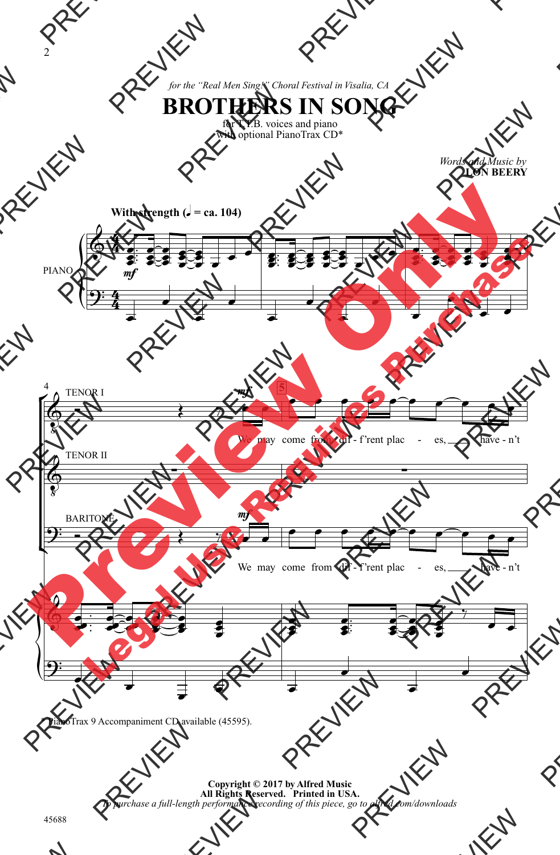*for the "Real Men Sing!" Choral Festival in Visalia, CA*

**BROTHERS IN SONG**

for T.T.B. voices and piano with optional PianoTrax CD\*



\* PianoTrax 9 Accompaniment CD available (45595).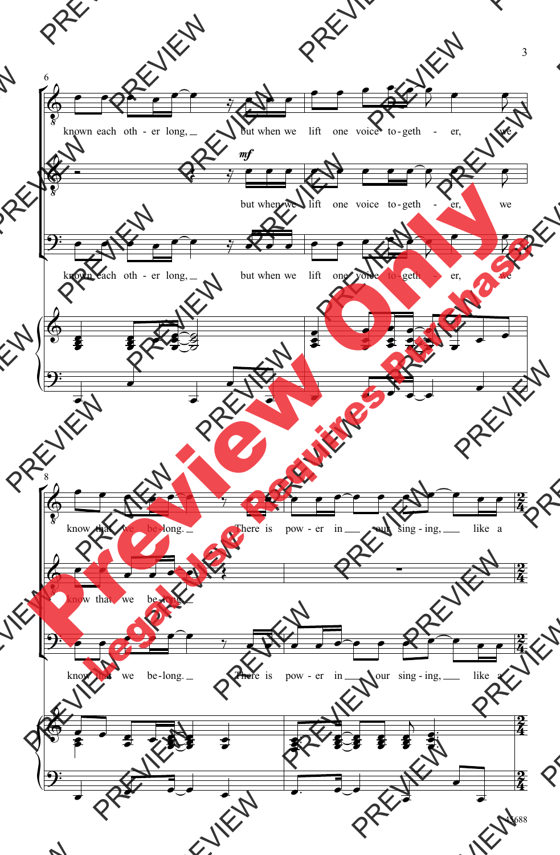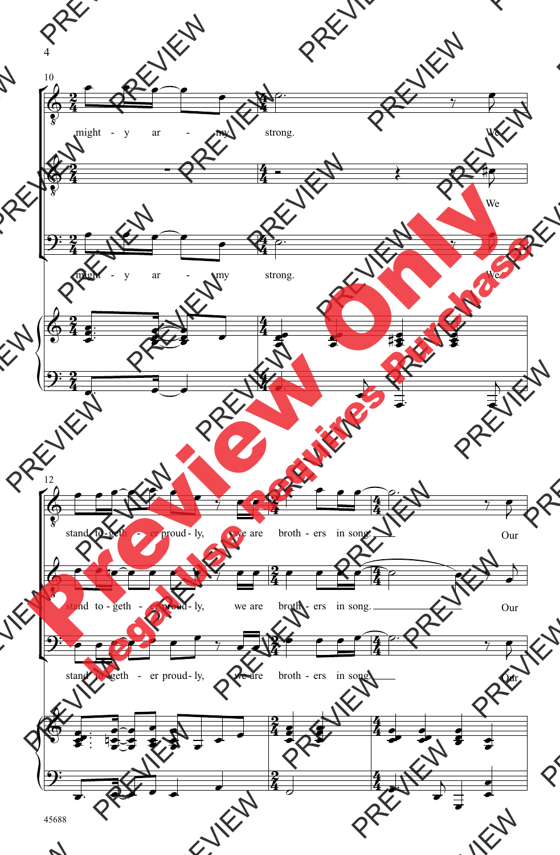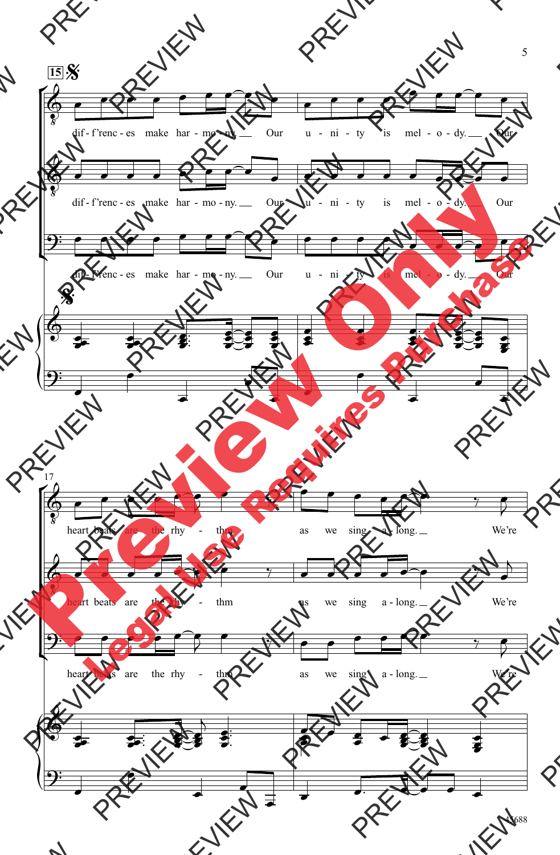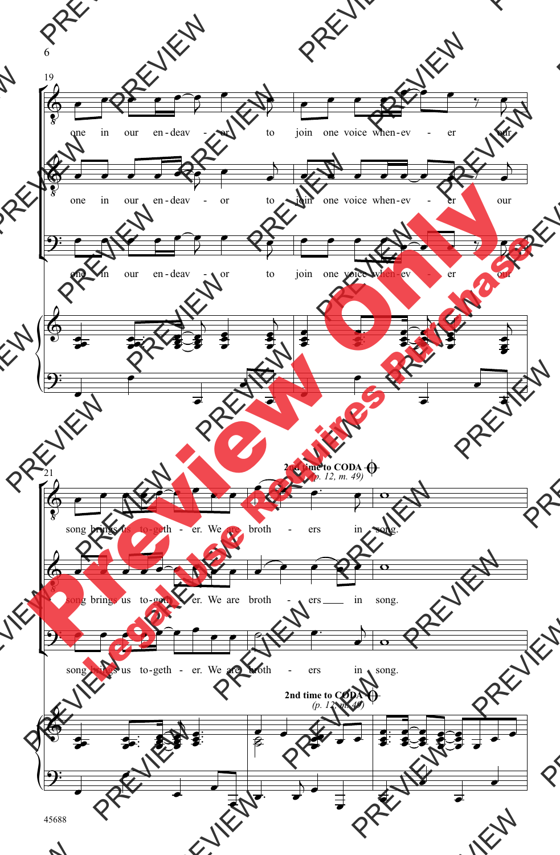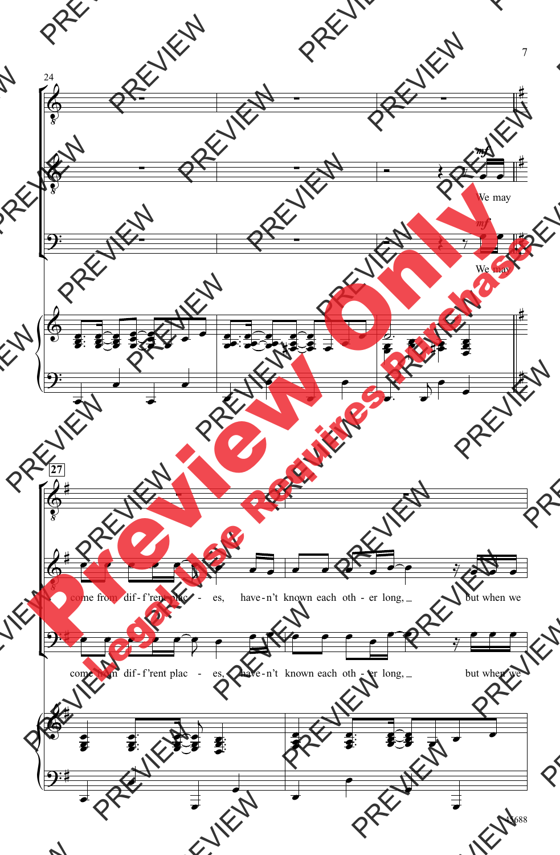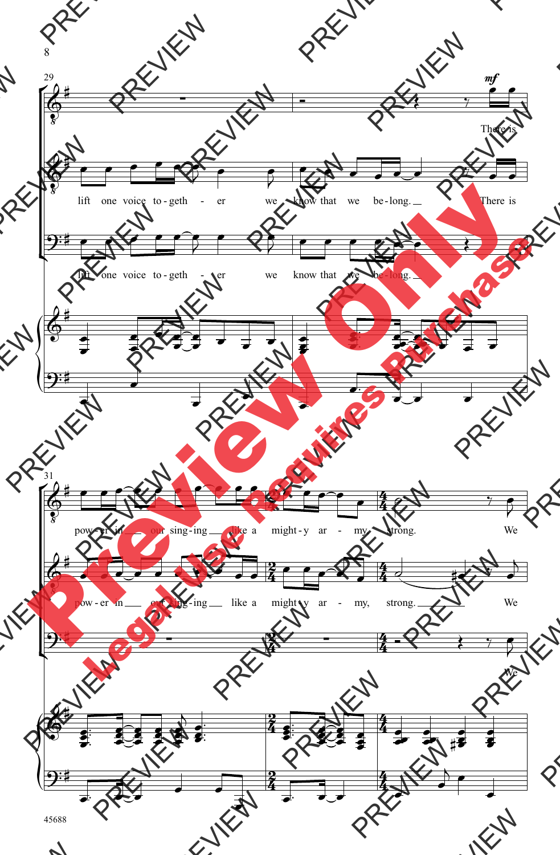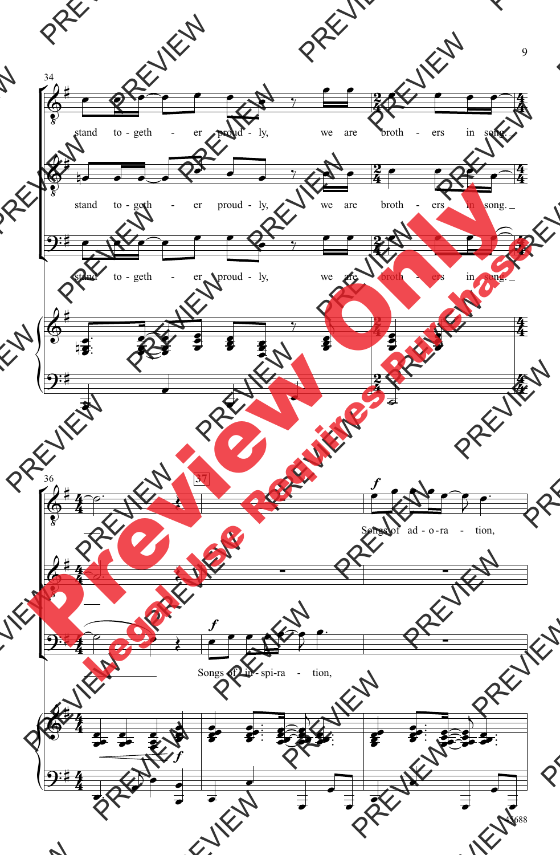![](_page_7_Figure_0.jpeg)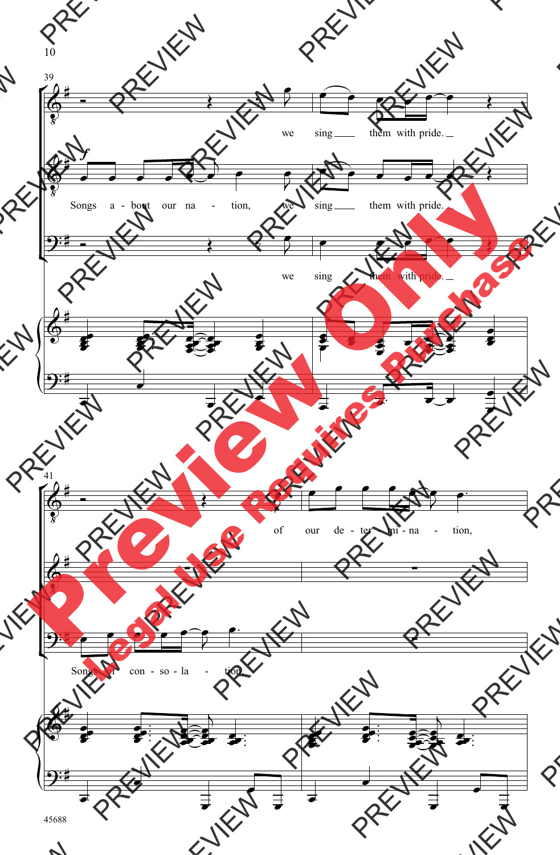![](_page_8_Figure_0.jpeg)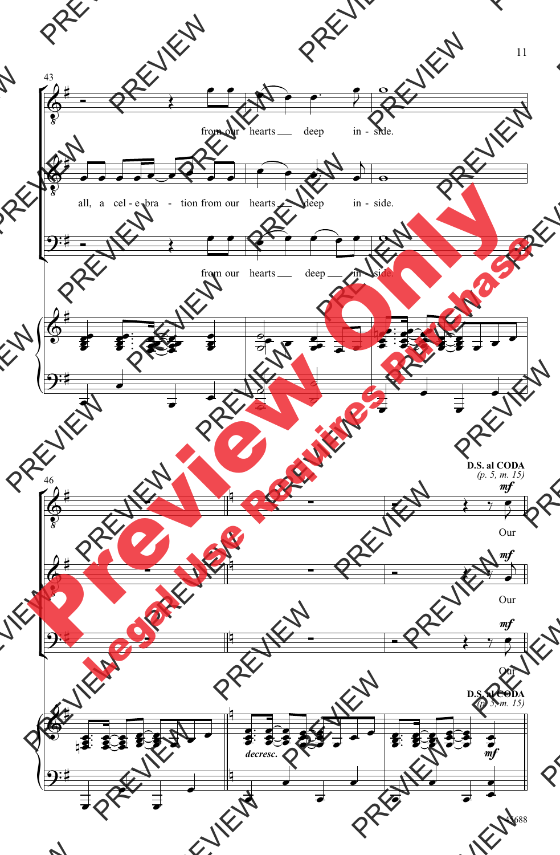![](_page_9_Figure_0.jpeg)